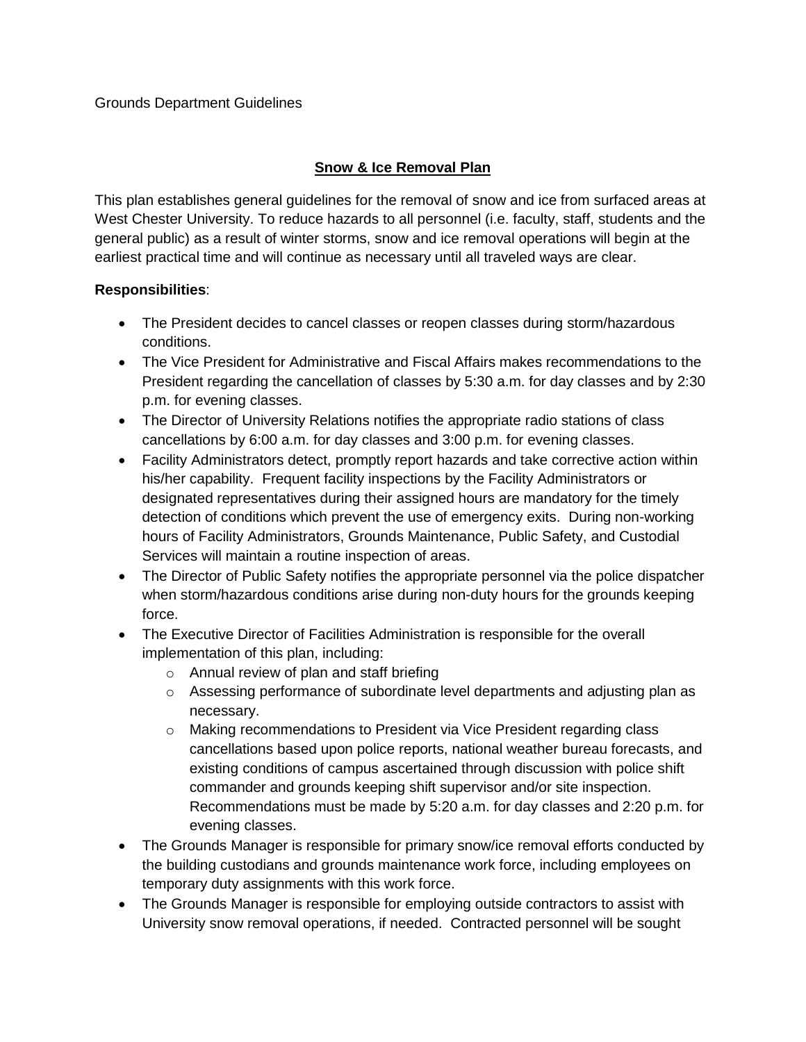#### Grounds Department Guidelines

### **Snow & Ice Removal Plan**

This plan establishes general guidelines for the removal of snow and ice from surfaced areas at West Chester University. To reduce hazards to all personnel (i.e. faculty, staff, students and the general public) as a result of winter storms, snow and ice removal operations will begin at the earliest practical time and will continue as necessary until all traveled ways are clear.

#### **Responsibilities**:

- The President decides to cancel classes or reopen classes during storm/hazardous conditions.
- The Vice President for Administrative and Fiscal Affairs makes recommendations to the President regarding the cancellation of classes by 5:30 a.m. for day classes and by 2:30 p.m. for evening classes.
- The Director of University Relations notifies the appropriate radio stations of class cancellations by 6:00 a.m. for day classes and 3:00 p.m. for evening classes.
- Facility Administrators detect, promptly report hazards and take corrective action within his/her capability. Frequent facility inspections by the Facility Administrators or designated representatives during their assigned hours are mandatory for the timely detection of conditions which prevent the use of emergency exits. During non-working hours of Facility Administrators, Grounds Maintenance, Public Safety, and Custodial Services will maintain a routine inspection of areas.
- The Director of Public Safety notifies the appropriate personnel via the police dispatcher when storm/hazardous conditions arise during non-duty hours for the grounds keeping force.
- The Executive Director of Facilities Administration is responsible for the overall implementation of this plan, including:
	- o Annual review of plan and staff briefing
	- $\circ$  Assessing performance of subordinate level departments and adjusting plan as necessary.
	- o Making recommendations to President via Vice President regarding class cancellations based upon police reports, national weather bureau forecasts, and existing conditions of campus ascertained through discussion with police shift commander and grounds keeping shift supervisor and/or site inspection. Recommendations must be made by 5:20 a.m. for day classes and 2:20 p.m. for evening classes.
- The Grounds Manager is responsible for primary snow/ice removal efforts conducted by the building custodians and grounds maintenance work force, including employees on temporary duty assignments with this work force.
- The Grounds Manager is responsible for employing outside contractors to assist with University snow removal operations, if needed. Contracted personnel will be sought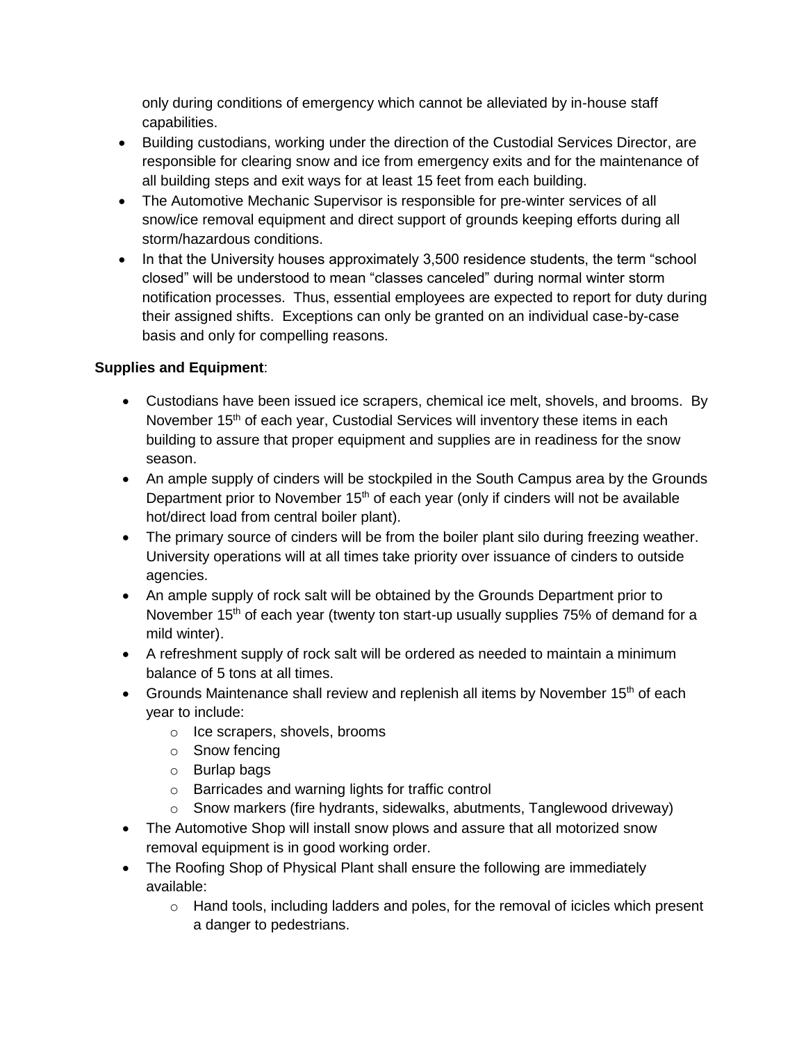only during conditions of emergency which cannot be alleviated by in-house staff capabilities.

- Building custodians, working under the direction of the Custodial Services Director, are responsible for clearing snow and ice from emergency exits and for the maintenance of all building steps and exit ways for at least 15 feet from each building.
- The Automotive Mechanic Supervisor is responsible for pre-winter services of all snow/ice removal equipment and direct support of grounds keeping efforts during all storm/hazardous conditions.
- In that the University houses approximately 3,500 residence students, the term "school closed" will be understood to mean "classes canceled" during normal winter storm notification processes. Thus, essential employees are expected to report for duty during their assigned shifts. Exceptions can only be granted on an individual case-by-case basis and only for compelling reasons.

# **Supplies and Equipment**:

- Custodians have been issued ice scrapers, chemical ice melt, shovels, and brooms. By November  $15<sup>th</sup>$  of each year, Custodial Services will inventory these items in each building to assure that proper equipment and supplies are in readiness for the snow season.
- An ample supply of cinders will be stockpiled in the South Campus area by the Grounds Department prior to November  $15<sup>th</sup>$  of each year (only if cinders will not be available hot/direct load from central boiler plant).
- The primary source of cinders will be from the boiler plant silo during freezing weather. University operations will at all times take priority over issuance of cinders to outside agencies.
- An ample supply of rock salt will be obtained by the Grounds Department prior to November 15<sup>th</sup> of each year (twenty ton start-up usually supplies 75% of demand for a mild winter).
- A refreshment supply of rock salt will be ordered as needed to maintain a minimum balance of 5 tons at all times.
- Grounds Maintenance shall review and replenish all items by November 15<sup>th</sup> of each year to include:
	- o Ice scrapers, shovels, brooms
	- o Snow fencing
	- o Burlap bags
	- o Barricades and warning lights for traffic control
	- $\circ$  Snow markers (fire hydrants, sidewalks, abutments, Tanglewood driveway)
- The Automotive Shop will install snow plows and assure that all motorized snow removal equipment is in good working order.
- The Roofing Shop of Physical Plant shall ensure the following are immediately available:
	- $\circ$  Hand tools, including ladders and poles, for the removal of icicles which present a danger to pedestrians.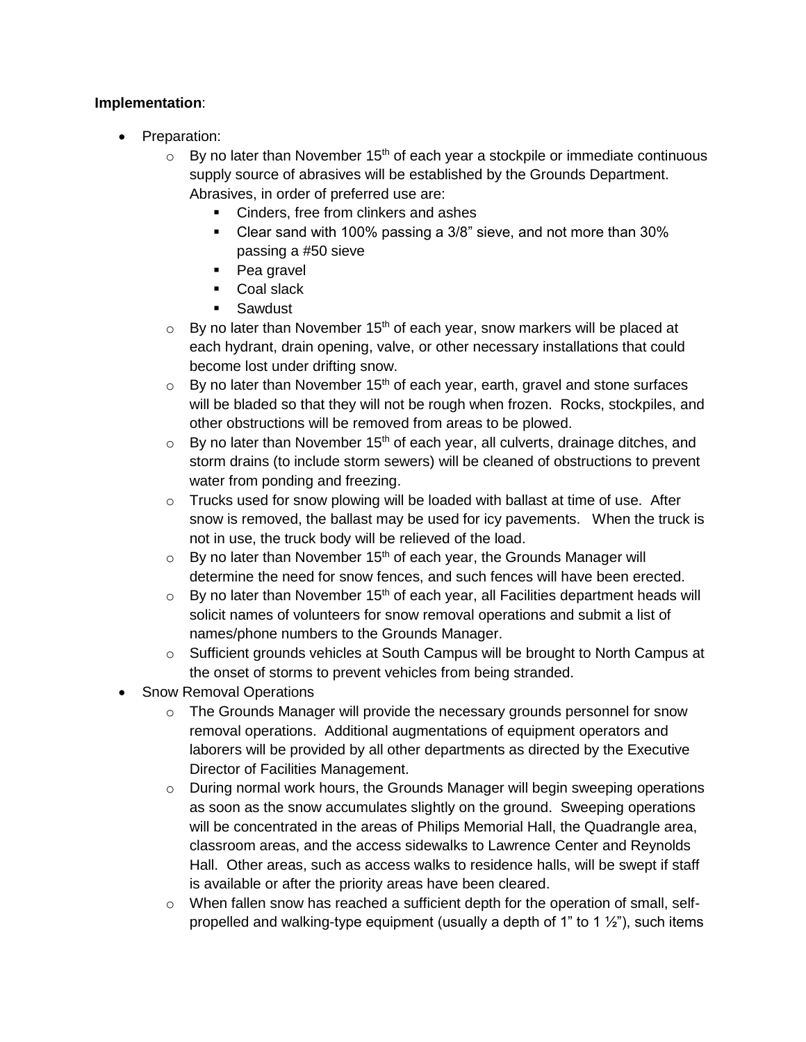### **Implementation**:

- Preparation:
	- $\circ$  By no later than November 15<sup>th</sup> of each year a stockpile or immediate continuous supply source of abrasives will be established by the Grounds Department. Abrasives, in order of preferred use are:
		- Cinders, free from clinkers and ashes
		- Clear sand with 100% passing a 3/8" sieve, and not more than 30% passing a #50 sieve
		- Pea gravel
		- Coal slack
		- **Sawdust**
	- $\circ$  By no later than November 15<sup>th</sup> of each year, snow markers will be placed at each hydrant, drain opening, valve, or other necessary installations that could become lost under drifting snow.
	- $\circ$  By no later than November 15<sup>th</sup> of each year, earth, gravel and stone surfaces will be bladed so that they will not be rough when frozen. Rocks, stockpiles, and other obstructions will be removed from areas to be plowed.
	- $\circ$  By no later than November 15<sup>th</sup> of each year, all culverts, drainage ditches, and storm drains (to include storm sewers) will be cleaned of obstructions to prevent water from ponding and freezing.
	- $\circ$  Trucks used for snow plowing will be loaded with ballast at time of use. After snow is removed, the ballast may be used for icy pavements. When the truck is not in use, the truck body will be relieved of the load.
	- $\circ$  By no later than November 15<sup>th</sup> of each year, the Grounds Manager will determine the need for snow fences, and such fences will have been erected.
	- $\circ$  By no later than November 15<sup>th</sup> of each year, all Facilities department heads will solicit names of volunteers for snow removal operations and submit a list of names/phone numbers to the Grounds Manager.
	- $\circ$  Sufficient grounds vehicles at South Campus will be brought to North Campus at the onset of storms to prevent vehicles from being stranded.
- Snow Removal Operations
	- $\circ$  The Grounds Manager will provide the necessary grounds personnel for snow removal operations. Additional augmentations of equipment operators and laborers will be provided by all other departments as directed by the Executive Director of Facilities Management.
	- o During normal work hours, the Grounds Manager will begin sweeping operations as soon as the snow accumulates slightly on the ground. Sweeping operations will be concentrated in the areas of Philips Memorial Hall, the Quadrangle area, classroom areas, and the access sidewalks to Lawrence Center and Reynolds Hall. Other areas, such as access walks to residence halls, will be swept if staff is available or after the priority areas have been cleared.
	- $\circ$  When fallen snow has reached a sufficient depth for the operation of small, selfpropelled and walking-type equipment (usually a depth of 1" to 1  $\frac{1}{2}$ "), such items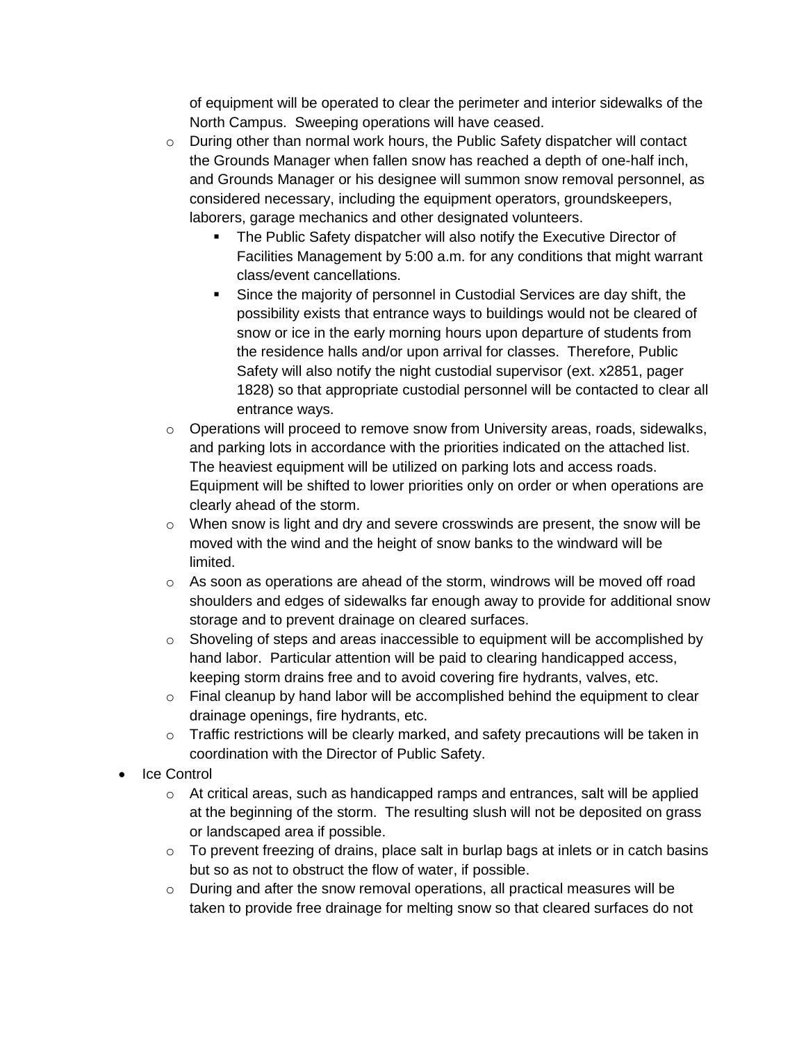of equipment will be operated to clear the perimeter and interior sidewalks of the North Campus. Sweeping operations will have ceased.

- $\circ$  During other than normal work hours, the Public Safety dispatcher will contact the Grounds Manager when fallen snow has reached a depth of one-half inch, and Grounds Manager or his designee will summon snow removal personnel, as considered necessary, including the equipment operators, groundskeepers, laborers, garage mechanics and other designated volunteers.
	- **The Public Safety dispatcher will also notify the Executive Director of** Facilities Management by 5:00 a.m. for any conditions that might warrant class/event cancellations.
	- Since the majority of personnel in Custodial Services are day shift, the possibility exists that entrance ways to buildings would not be cleared of snow or ice in the early morning hours upon departure of students from the residence halls and/or upon arrival for classes. Therefore, Public Safety will also notify the night custodial supervisor (ext. x2851, pager 1828) so that appropriate custodial personnel will be contacted to clear all entrance ways.
- $\circ$  Operations will proceed to remove snow from University areas, roads, sidewalks, and parking lots in accordance with the priorities indicated on the attached list. The heaviest equipment will be utilized on parking lots and access roads. Equipment will be shifted to lower priorities only on order or when operations are clearly ahead of the storm.
- $\circ$  When snow is light and dry and severe crosswinds are present, the snow will be moved with the wind and the height of snow banks to the windward will be limited.
- $\circ$  As soon as operations are ahead of the storm, windrows will be moved off road shoulders and edges of sidewalks far enough away to provide for additional snow storage and to prevent drainage on cleared surfaces.
- $\circ$  Shoveling of steps and areas inaccessible to equipment will be accomplished by hand labor. Particular attention will be paid to clearing handicapped access, keeping storm drains free and to avoid covering fire hydrants, valves, etc.
- $\circ$  Final cleanup by hand labor will be accomplished behind the equipment to clear drainage openings, fire hydrants, etc.
- $\circ$  Traffic restrictions will be clearly marked, and safety precautions will be taken in coordination with the Director of Public Safety.
- Ice Control
	- $\circ$  At critical areas, such as handicapped ramps and entrances, salt will be applied at the beginning of the storm. The resulting slush will not be deposited on grass or landscaped area if possible.
	- $\circ$  To prevent freezing of drains, place salt in burlap bags at inlets or in catch basins but so as not to obstruct the flow of water, if possible.
	- o During and after the snow removal operations, all practical measures will be taken to provide free drainage for melting snow so that cleared surfaces do not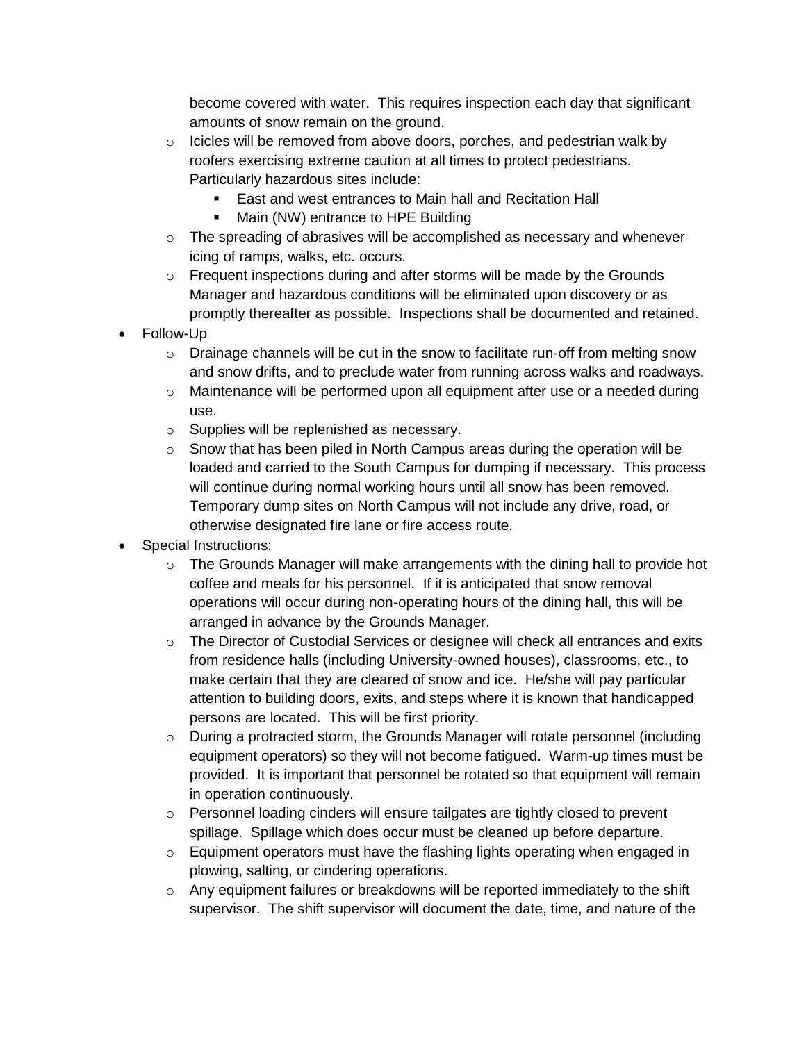become covered with water. This requires inspection each day that significant amounts of snow remain on the ground.

- $\circ$  Icicles will be removed from above doors, porches, and pedestrian walk by roofers exercising extreme caution at all times to protect pedestrians. Particularly hazardous sites include:
	- East and west entrances to Main hall and Recitation Hall
	- Main (NW) entrance to HPE Building
- $\circ$  The spreading of abrasives will be accomplished as necessary and whenever icing of ramps, walks, etc. occurs.
- o Frequent inspections during and after storms will be made by the Grounds Manager and hazardous conditions will be eliminated upon discovery or as promptly thereafter as possible. Inspections shall be documented and retained.
- Follow-Up
	- $\circ$  Drainage channels will be cut in the snow to facilitate run-off from melting snow and snow drifts, and to preclude water from running across walks and roadways.
	- $\circ$  Maintenance will be performed upon all equipment after use or a needed during use.
	- o Supplies will be replenished as necessary.
	- $\circ$  Snow that has been piled in North Campus areas during the operation will be loaded and carried to the South Campus for dumping if necessary. This process will continue during normal working hours until all snow has been removed. Temporary dump sites on North Campus will not include any drive, road, or otherwise designated fire lane or fire access route.
- Special Instructions:
	- o The Grounds Manager will make arrangements with the dining hall to provide hot coffee and meals for his personnel. If it is anticipated that snow removal operations will occur during non-operating hours of the dining hall, this will be arranged in advance by the Grounds Manager.
	- $\circ$  The Director of Custodial Services or designee will check all entrances and exits from residence halls (including University-owned houses), classrooms, etc., to make certain that they are cleared of snow and ice. He/she will pay particular attention to building doors, exits, and steps where it is known that handicapped persons are located. This will be first priority.
	- o During a protracted storm, the Grounds Manager will rotate personnel (including equipment operators) so they will not become fatigued. Warm-up times must be provided. It is important that personnel be rotated so that equipment will remain in operation continuously.
	- $\circ$  Personnel loading cinders will ensure tailgates are tightly closed to prevent spillage. Spillage which does occur must be cleaned up before departure.
	- $\circ$  Equipment operators must have the flashing lights operating when engaged in plowing, salting, or cindering operations.
	- $\circ$  Any equipment failures or breakdowns will be reported immediately to the shift supervisor. The shift supervisor will document the date, time, and nature of the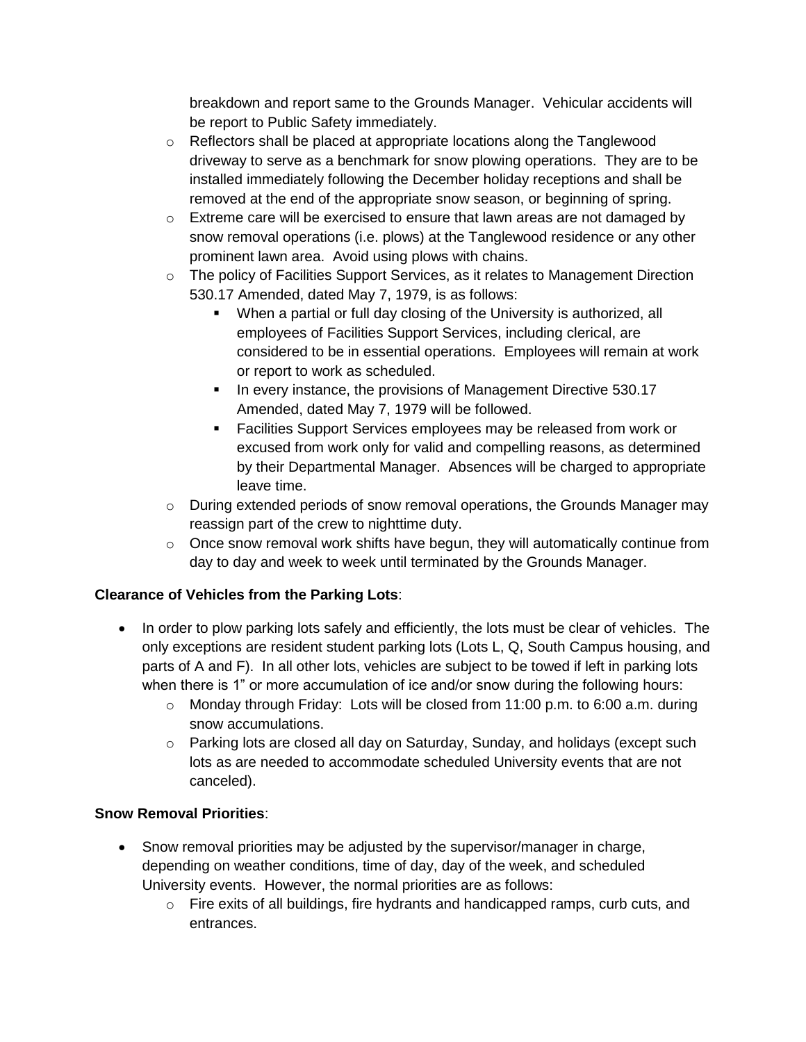breakdown and report same to the Grounds Manager. Vehicular accidents will be report to Public Safety immediately.

- o Reflectors shall be placed at appropriate locations along the Tanglewood driveway to serve as a benchmark for snow plowing operations. They are to be installed immediately following the December holiday receptions and shall be removed at the end of the appropriate snow season, or beginning of spring.
- $\circ$  Extreme care will be exercised to ensure that lawn areas are not damaged by snow removal operations (i.e. plows) at the Tanglewood residence or any other prominent lawn area. Avoid using plows with chains.
- $\circ$  The policy of Facilities Support Services, as it relates to Management Direction 530.17 Amended, dated May 7, 1979, is as follows:
	- When a partial or full day closing of the University is authorized, all employees of Facilities Support Services, including clerical, are considered to be in essential operations. Employees will remain at work or report to work as scheduled.
	- In every instance, the provisions of Management Directive 530.17 Amended, dated May 7, 1979 will be followed.
	- **Facilities Support Services employees may be released from work or** excused from work only for valid and compelling reasons, as determined by their Departmental Manager. Absences will be charged to appropriate leave time.
- o During extended periods of snow removal operations, the Grounds Manager may reassign part of the crew to nighttime duty.
- o Once snow removal work shifts have begun, they will automatically continue from day to day and week to week until terminated by the Grounds Manager.

# **Clearance of Vehicles from the Parking Lots**:

- In order to plow parking lots safely and efficiently, the lots must be clear of vehicles. The only exceptions are resident student parking lots (Lots L, Q, South Campus housing, and parts of A and F). In all other lots, vehicles are subject to be towed if left in parking lots when there is 1" or more accumulation of ice and/or snow during the following hours:
	- $\circ$  Monday through Friday: Lots will be closed from 11:00 p.m. to 6:00 a.m. during snow accumulations.
	- $\circ$  Parking lots are closed all day on Saturday, Sunday, and holidays (except such lots as are needed to accommodate scheduled University events that are not canceled).

# **Snow Removal Priorities**:

- Snow removal priorities may be adjusted by the supervisor/manager in charge, depending on weather conditions, time of day, day of the week, and scheduled University events. However, the normal priorities are as follows:
	- o Fire exits of all buildings, fire hydrants and handicapped ramps, curb cuts, and entrances.